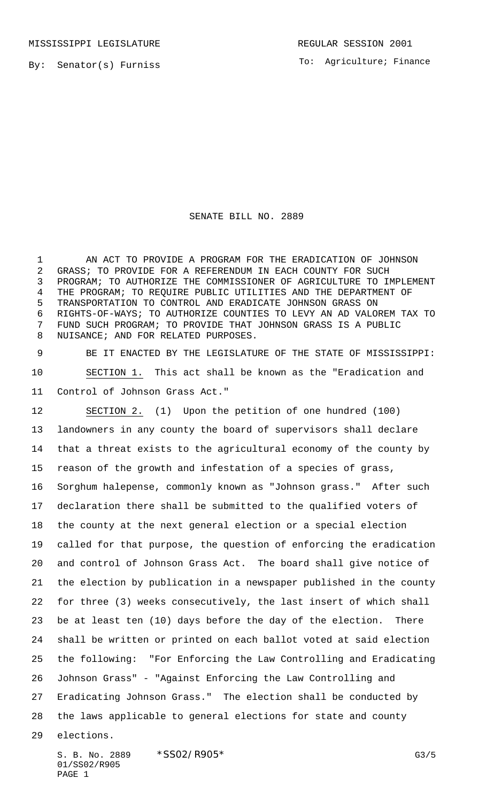By: Senator(s) Furniss

To: Agriculture; Finance

## SENATE BILL NO. 2889

 AN ACT TO PROVIDE A PROGRAM FOR THE ERADICATION OF JOHNSON GRASS; TO PROVIDE FOR A REFERENDUM IN EACH COUNTY FOR SUCH PROGRAM; TO AUTHORIZE THE COMMISSIONER OF AGRICULTURE TO IMPLEMENT THE PROGRAM; TO REQUIRE PUBLIC UTILITIES AND THE DEPARTMENT OF TRANSPORTATION TO CONTROL AND ERADICATE JOHNSON GRASS ON RIGHTS-OF-WAYS; TO AUTHORIZE COUNTIES TO LEVY AN AD VALOREM TAX TO FUND SUCH PROGRAM; TO PROVIDE THAT JOHNSON GRASS IS A PUBLIC NUISANCE; AND FOR RELATED PURPOSES.

 BE IT ENACTED BY THE LEGISLATURE OF THE STATE OF MISSISSIPPI: SECTION 1. This act shall be known as the "Eradication and Control of Johnson Grass Act."

 SECTION 2. (1) Upon the petition of one hundred (100) landowners in any county the board of supervisors shall declare that a threat exists to the agricultural economy of the county by reason of the growth and infestation of a species of grass, Sorghum halepense, commonly known as "Johnson grass." After such declaration there shall be submitted to the qualified voters of the county at the next general election or a special election called for that purpose, the question of enforcing the eradication and control of Johnson Grass Act. The board shall give notice of the election by publication in a newspaper published in the county for three (3) weeks consecutively, the last insert of which shall be at least ten (10) days before the day of the election. There shall be written or printed on each ballot voted at said election the following: "For Enforcing the Law Controlling and Eradicating Johnson Grass" - "Against Enforcing the Law Controlling and Eradicating Johnson Grass." The election shall be conducted by the laws applicable to general elections for state and county elections.

S. B. No. 2889 \* SSO2/R905\* G3/5 01/SS02/R905 PAGE 1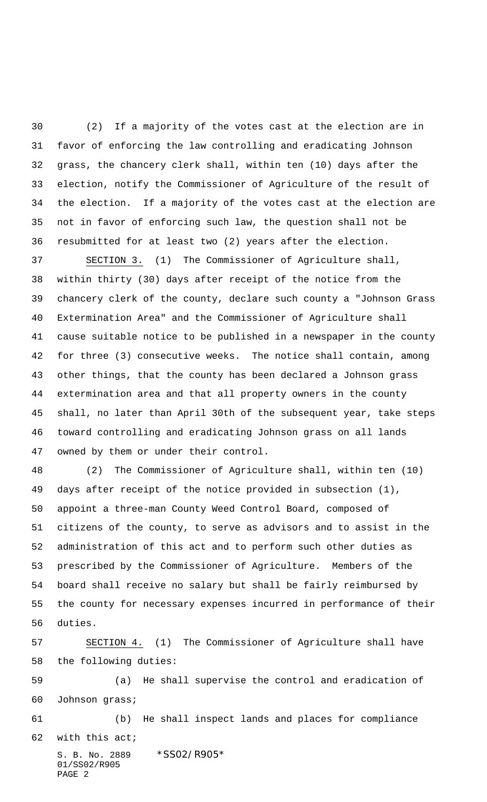(2) If a majority of the votes cast at the election are in favor of enforcing the law controlling and eradicating Johnson grass, the chancery clerk shall, within ten (10) days after the election, notify the Commissioner of Agriculture of the result of the election. If a majority of the votes cast at the election are not in favor of enforcing such law, the question shall not be resubmitted for at least two (2) years after the election.

 SECTION 3. (1) The Commissioner of Agriculture shall, within thirty (30) days after receipt of the notice from the chancery clerk of the county, declare such county a "Johnson Grass Extermination Area" and the Commissioner of Agriculture shall cause suitable notice to be published in a newspaper in the county for three (3) consecutive weeks. The notice shall contain, among other things, that the county has been declared a Johnson grass extermination area and that all property owners in the county shall, no later than April 30th of the subsequent year, take steps toward controlling and eradicating Johnson grass on all lands owned by them or under their control.

 (2) The Commissioner of Agriculture shall, within ten (10) days after receipt of the notice provided in subsection (1), appoint a three-man County Weed Control Board, composed of citizens of the county, to serve as advisors and to assist in the administration of this act and to perform such other duties as prescribed by the Commissioner of Agriculture. Members of the board shall receive no salary but shall be fairly reimbursed by the county for necessary expenses incurred in performance of their duties.

 SECTION 4. (1) The Commissioner of Agriculture shall have the following duties:

 (a) He shall supervise the control and eradication of Johnson grass;

 (b) He shall inspect lands and places for compliance with this act;

S. B. No. 2889 \* SS02/R905\* 01/SS02/R905 PAGE 2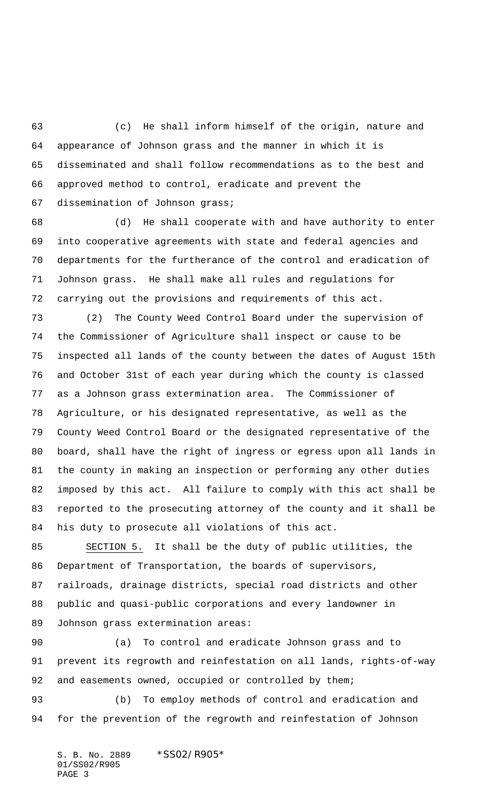(c) He shall inform himself of the origin, nature and appearance of Johnson grass and the manner in which it is disseminated and shall follow recommendations as to the best and approved method to control, eradicate and prevent the dissemination of Johnson grass;

 (d) He shall cooperate with and have authority to enter into cooperative agreements with state and federal agencies and departments for the furtherance of the control and eradication of Johnson grass. He shall make all rules and regulations for carrying out the provisions and requirements of this act.

 (2) The County Weed Control Board under the supervision of the Commissioner of Agriculture shall inspect or cause to be inspected all lands of the county between the dates of August 15th and October 31st of each year during which the county is classed as a Johnson grass extermination area. The Commissioner of Agriculture, or his designated representative, as well as the County Weed Control Board or the designated representative of the board, shall have the right of ingress or egress upon all lands in the county in making an inspection or performing any other duties imposed by this act. All failure to comply with this act shall be reported to the prosecuting attorney of the county and it shall be his duty to prosecute all violations of this act.

 SECTION 5. It shall be the duty of public utilities, the Department of Transportation, the boards of supervisors, railroads, drainage districts, special road districts and other public and quasi-public corporations and every landowner in Johnson grass extermination areas:

 (a) To control and eradicate Johnson grass and to prevent its regrowth and reinfestation on all lands, rights-of-way 92 and easements owned, occupied or controlled by them;

 (b) To employ methods of control and eradication and for the prevention of the regrowth and reinfestation of Johnson

S. B. No. 2889 \*SS02/R905\* 01/SS02/R905 PAGE 3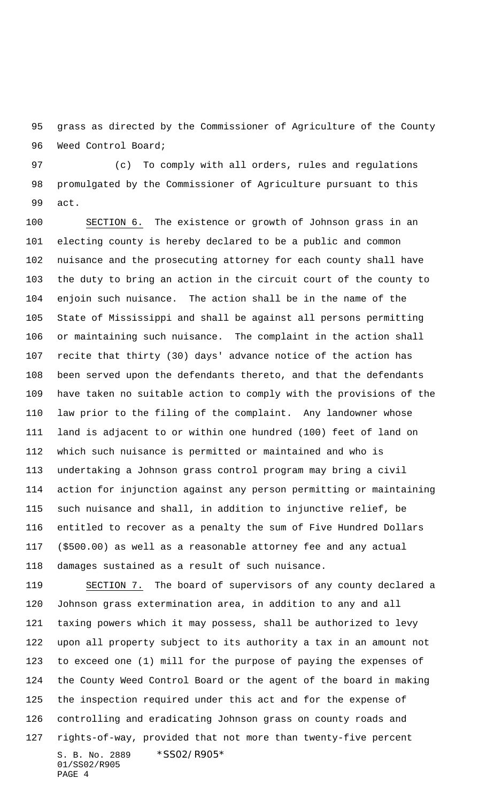grass as directed by the Commissioner of Agriculture of the County Weed Control Board;

 (c) To comply with all orders, rules and regulations promulgated by the Commissioner of Agriculture pursuant to this act.

 SECTION 6. The existence or growth of Johnson grass in an electing county is hereby declared to be a public and common nuisance and the prosecuting attorney for each county shall have the duty to bring an action in the circuit court of the county to enjoin such nuisance. The action shall be in the name of the State of Mississippi and shall be against all persons permitting or maintaining such nuisance. The complaint in the action shall recite that thirty (30) days' advance notice of the action has been served upon the defendants thereto, and that the defendants have taken no suitable action to comply with the provisions of the law prior to the filing of the complaint. Any landowner whose land is adjacent to or within one hundred (100) feet of land on which such nuisance is permitted or maintained and who is undertaking a Johnson grass control program may bring a civil action for injunction against any person permitting or maintaining such nuisance and shall, in addition to injunctive relief, be entitled to recover as a penalty the sum of Five Hundred Dollars (\$500.00) as well as a reasonable attorney fee and any actual damages sustained as a result of such nuisance.

S. B. No. 2889 \* SS02/R905\* 01/SS02/R905 SECTION 7. The board of supervisors of any county declared a Johnson grass extermination area, in addition to any and all taxing powers which it may possess, shall be authorized to levy upon all property subject to its authority a tax in an amount not to exceed one (1) mill for the purpose of paying the expenses of the County Weed Control Board or the agent of the board in making the inspection required under this act and for the expense of controlling and eradicating Johnson grass on county roads and rights-of-way, provided that not more than twenty-five percent

PAGE 4